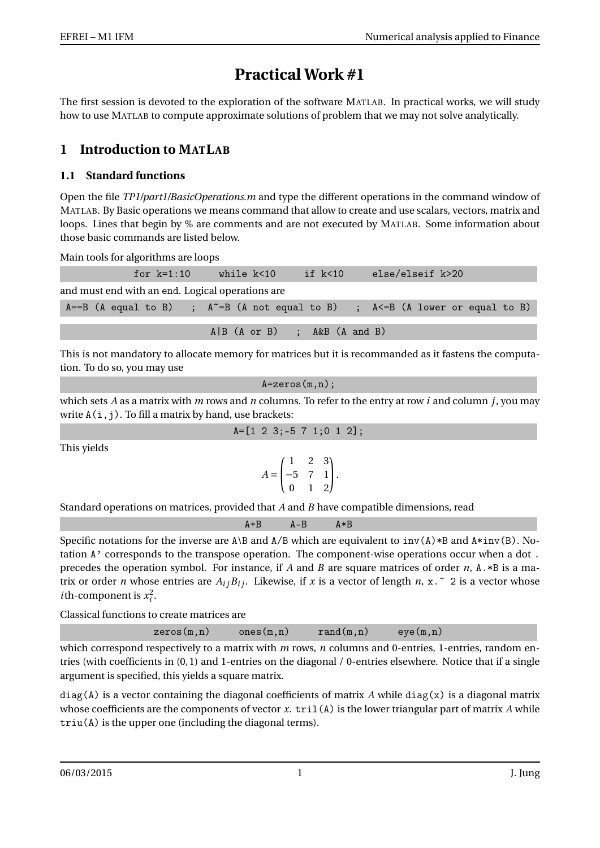# **Practical Work #1**

The first session is devoted to the exploration of the software MATLAB. In practical works, we will study how to use MATLAB to compute approximate solutions of problem that we may not solve analytically.

# **1 Introduction to MATLAB**

### **1.1 Standard functions**

Open the file *TP1/part1/BasicOperations.m* and type the different operations in the command window of MATLAB. By Basic operations we means command that allow to create and use scalars, vectors, matrix and loops. Lines that begin by % are comments and are not executed by MATLAB. Some information about those basic commands are listed below.

Main tools for algorithms are loops

| for $k=1:10$                                     | while k<10                     | if k<10 | else/elseif k>20                                                                    |
|--------------------------------------------------|--------------------------------|---------|-------------------------------------------------------------------------------------|
| and must end with an end. Logical operations are |                                |         |                                                                                     |
|                                                  |                                |         | $A==B$ (A equal to B) ; $A^*=B$ (A not equal to B) ; $A<=B$ (A lower or equal to B) |
|                                                  | $A B$ (A or B) ; A&B (A and B) |         |                                                                                     |
|                                                  |                                |         |                                                                                     |

This is not mandatory to allocate memory for matrices but it is recommanded as it fastens the computation. To do so, you may use

```
A=zeros(m,n);
```
which sets *A* as a matrix with *m* rows and *n* columns. To refer to the entry at row *i* and column *j*, you may write  $A(i, j)$ . To fill a matrix by hand, use brackets:

|  |  | $A = \begin{bmatrix} 1 & 2 & 3 \\ -5 & 7 & 1 \\ 0 & 1 & 2 \end{bmatrix}$ ; |  |  |  |  |
|--|--|----------------------------------------------------------------------------|--|--|--|--|
|--|--|----------------------------------------------------------------------------|--|--|--|--|

This yields

$$
A = \begin{pmatrix} 1 & 2 & 3 \\ -5 & 7 & 1 \\ 0 & 1 & 2 \end{pmatrix}.
$$

Standard operations on matrices, provided that *A* and *B* have compatible dimensions, read

|        |  |  |  | $\Delta - R$                                                                                                                                                                                                                                                                                            |  |  |  |
|--------|--|--|--|---------------------------------------------------------------------------------------------------------------------------------------------------------------------------------------------------------------------------------------------------------------------------------------------------------|--|--|--|
| $\sim$ |  |  |  | $\mathbf{A} \mathbf{B}$ and $\mathbf{B}$ and $\mathbf{B}$ and $\mathbf{B}$ and $\mathbf{B}$ and $\mathbf{B}$ and $\mathbf{B}$ and $\mathbf{B}$ and $\mathbf{B}$ and $\mathbf{B}$ and $\mathbf{B}$ and $\mathbf{B}$ and $\mathbf{B}$ and $\mathbf{B}$ and $\mathbf{B}$ and $\mathbf{B}$ and $\mathbf{B}$ |  |  |  |

Specific notations for the inverse are  $A\setminus B$  and  $A/B$  which are equivalent to  $inv(A)*B$  and  $A*inv(B)$ . Notation A' corresponds to the transpose operation. The component-wise operations occur when a dot . precedes the operation symbol. For instance, if *A* and *B* are square matrices of order *n*, A.\*B is a matrix or order *n* whose entries are  $A_i B_i$ . Likewise, if *x* is a vector of length *n*, x.  $\hat{ }$  2 is a vector whose *i*th-component is  $x_i^2$ .

Classical functions to create matrices are

| zeros(m, n) | ones $(m, n)$ | $rand(m, n)$ eye $(m, n)$ |  |
|-------------|---------------|---------------------------|--|
|             |               |                           |  |

which correspond respectively to a matrix with *m* rows, *n* columns and 0-entries, 1-entries, random entries (with coefficients in (0, 1) and 1-entries on the diagonal / 0-entries elsewhere. Notice that if a single argument is specified, this yields a square matrix.

 $diag(A)$  is a vector containing the diagonal coefficients of matrix A while diag(x) is a diagonal matrix whose coefficients are the components of vector *x*. tril(A) is the lower triangular part of matrix *A* while triu(A) is the upper one (including the diagonal terms).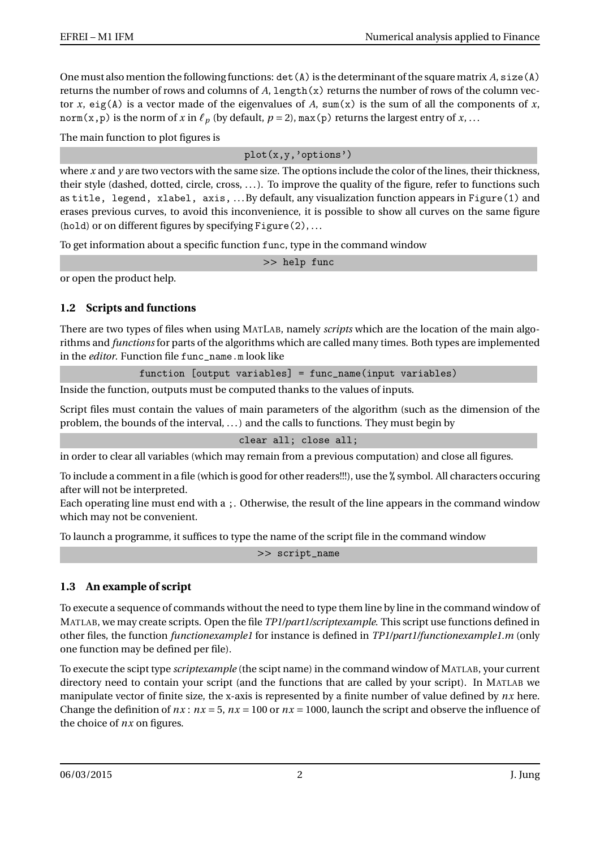One must also mention the following functions: det(A) is the determinant of the square matrix *A*, size(A) returns the number of rows and columns of  $A$ , length $(x)$  returns the number of rows of the column vector *x*, eig(A) is a vector made of the eigenvalues of *A*, sum(x) is the sum of all the components of *x*, norm(x, p) is the norm of *x* in  $\ell_p$  (by default,  $p = 2$ ), max(p) returns the largest entry of *x*, ...

The main function to plot figures is

plot(x,y,'options')

where *x* and *y* are two vectors with the same size. The options include the color of the lines, their thickness, their style (dashed, dotted, circle, cross, . . . ). To improve the quality of the figure, refer to functions such as title, legend, xlabel, axis, ... By default, any visualization function appears in Figure(1) and erases previous curves, to avoid this inconvenience, it is possible to show all curves on the same figure (hold) or on different figures by specifying  $Figure (2), ...$ 

To get information about a specific function func, type in the command window

>> help func

or open the product help.

## **1.2 Scripts and functions**

There are two types of files when using MATLAB, namely *scripts* which are the location of the main algorithms and *functions* for parts of the algorithms which are called many times. Both types are implemented in the *editor*. Function file func\_name.m look like

function [output variables] = func\_name(input variables)

Inside the function, outputs must be computed thanks to the values of inputs.

Script files must contain the values of main parameters of the algorithm (such as the dimension of the problem, the bounds of the interval, . . . ) and the calls to functions. They must begin by

clear all; close all;

in order to clear all variables (which may remain from a previous computation) and close all figures.

To include a comment in a file (which is good for other readers!!!), use the % symbol. All characters occuring after will not be interpreted.

Each operating line must end with a ;. Otherwise, the result of the line appears in the command window which may not be convenient.

To launch a programme, it suffices to type the name of the script file in the command window

>> script\_name

## **1.3 An example of script**

To execute a sequence of commands without the need to type them line by line in the command window of MATLAB, we may create scripts. Open the file *TP1/part1/scriptexample*. This script use functions defined in other files, the function *functionexample1* for instance is defined in *TP1/part1/functionexample1.m* (only one function may be defined per file).

To execute the scipt type *scriptexample* (the scipt name) in the command window of MATLAB, your current directory need to contain your script (and the functions that are called by your script). In MATLAB we manipulate vector of finite size, the x-axis is represented by a finite number of value defined by *nx* here. Change the definition of  $nx : nx = 5$ ,  $nx = 100$  or  $nx = 1000$ , launch the script and observe the influence of the choice of *nx* on figures.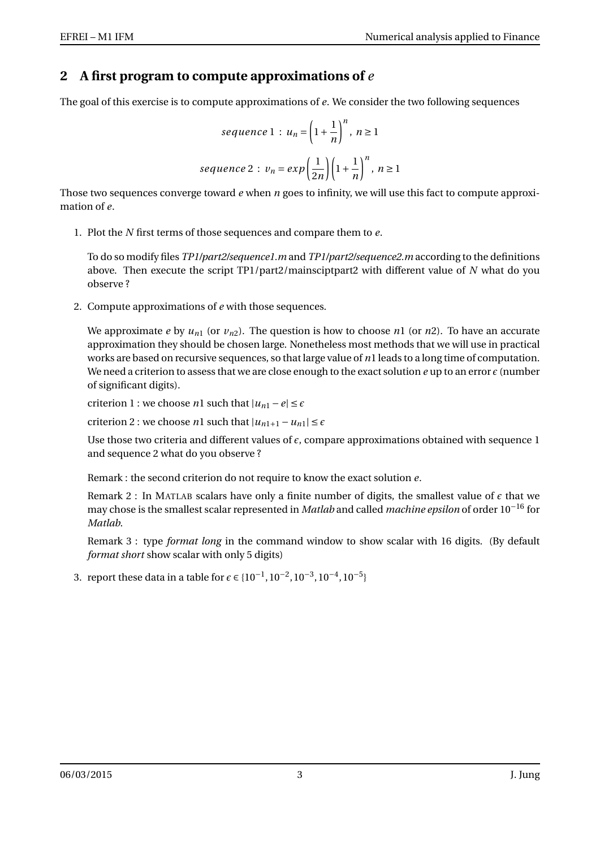# **2 A first program to compute approximations of** *e*

The goal of this exercise is to compute approximations of *e*. We consider the two following sequences

$$
sequence 1: u_n = \left(1 + \frac{1}{n}\right)^n, n \ge 1
$$
\n
$$
sequence 2: v_n = exp\left(\frac{1}{2n}\right)\left(1 + \frac{1}{n}\right)^n, n \ge 1
$$

Those two sequences converge toward *e* when *n* goes to infinity, we will use this fact to compute approximation of *e*.

1. Plot the *N* first terms of those sequences and compare them to *e*.

To do so modify files *TP1/part2/sequence1.m* and *TP1/part2/sequence2.m* according to the definitions above. Then execute the script TP1/part2/mainsciptpart2 with different value of *N* what do you observe ?

2. Compute approximations of *e* with those sequences.

We approximate *e* by  $u_{n1}$  (or  $v_{n2}$ ). The question is how to choose *n*1 (or *n*2). To have an accurate approximation they should be chosen large. Nonetheless most methods that we will use in practical works are based on recursive sequences, so that large value of *n*1 leads to a long time of computation. We need a criterion to assess that we are close enough to the exact solution  $e$  up to an error  $\epsilon$  (number of significant digits).

criterion 1 : we choose *n*1 such that  $|u_{n1} - e| \leq \epsilon$ 

criterion 2 : we choose *n*1 such that  $|u_{n1+1} - u_{n1}| \le \epsilon$ 

Use those two criteria and different values of  $\epsilon$ , compare approximations obtained with sequence 1 and sequence 2 what do you observe ?

Remark : the second criterion do not require to know the exact solution *e*.

Remark 2 : In MATLAB scalars have only a finite number of digits, the smallest value of  $\epsilon$  that we may chose is the smallest scalar represented in *Matlab* and called *machine epsilon* of order 10−<sup>16</sup> for *Matlab*.

Remark 3 : type *format long* in the command window to show scalar with 16 digits. (By default *format short* show scalar with only 5 digits)

3. report these data in a table for  $\epsilon \in \{10^{-1}, 10^{-2}, 10^{-3}, 10^{-4}, 10^{-5}\}$